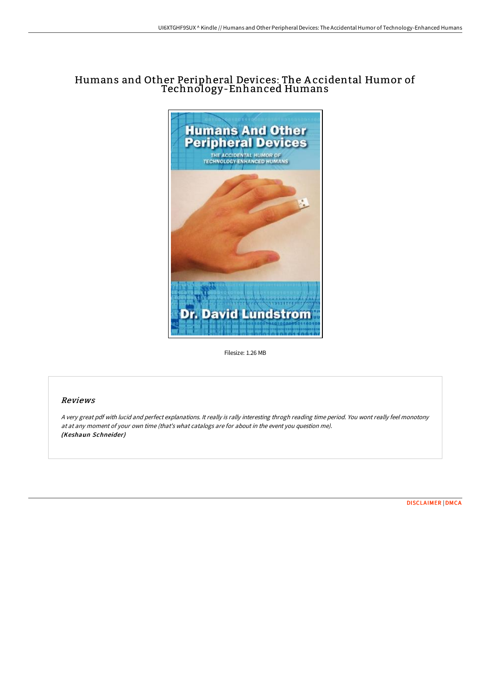# Humans and Other Peripheral Devices: The A ccidental Humor of Technology-Enhanced Humans



Filesize: 1.26 MB

# Reviews

<sup>A</sup> very great pdf with lucid and perfect explanations. It really is rally interesting throgh reading time period. You wont really feel monotony at at any moment of your own time (that's what catalogs are for about in the event you question me). (Keshaun Schneider)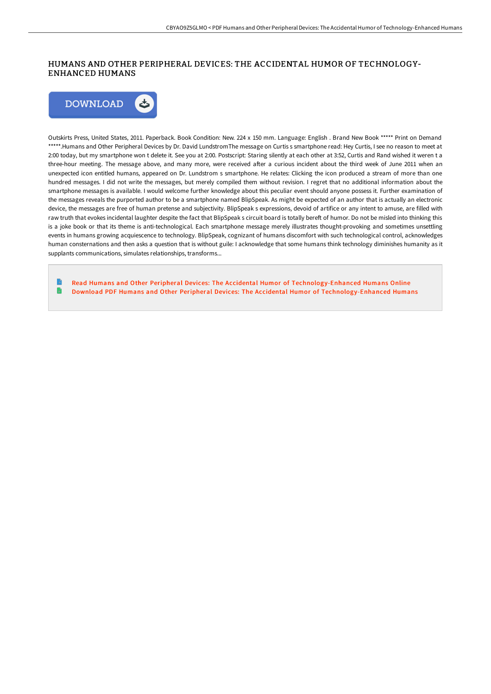## HUMANS AND OTHER PERIPHERAL DEVICES: THE ACCIDENTAL HUMOR OF TECHNOLOGY-ENHANCED HUMANS



Outskirts Press, United States, 2011. Paperback. Book Condition: New. 224 x 150 mm. Language: English . Brand New Book \*\*\*\*\* Print on Demand \*\*\*\*\*.Humans and Other Peripheral Devices by Dr. David LundstromThe message on Curtis s smartphone read: Hey Curtis, I see no reason to meet at 2:00 today, but my smartphone won t delete it. See you at 2:00. Postscript: Staring silently at each other at 3:52, Curtis and Rand wished it weren t a three-hour meeting. The message above, and many more, were received after a curious incident about the third week of June 2011 when an unexpected icon entitled humans, appeared on Dr. Lundstrom s smartphone. He relates: Clicking the icon produced a stream of more than one hundred messages. I did not write the messages, but merely compiled them without revision. I regret that no additional information about the smartphone messages is available. I would welcome further knowledge about this peculiar event should anyone possess it. Further examination of the messages reveals the purported author to be a smartphone named BlipSpeak. As might be expected of an author that is actually an electronic device, the messages are free of human pretense and subjectivity. BlipSpeak s expressions, devoid of artifice or any intent to amuse, are filled with raw truth that evokes incidental laughter despite the fact that BlipSpeak s circuit board is totally bereft of humor. Do not be misled into thinking this is a joke book or that its theme is anti-technological. Each smartphone message merely illustrates thought-provoking and sometimes unsettling events in humans growing acquiescence to technology. BlipSpeak, cognizant of humans discomfort with such technological control, acknowledges human consternations and then asks a question that is without guile: I acknowledge that some humans think technology diminishes humanity as it supplants communications, simulates relationships, transforms...

Read Humans and Other Peripheral Devices: The Accidental Humor of [Technology-Enhanced](http://digilib.live/humans-and-other-peripheral-devices-the-accident.html) Humans Online D Download PDF Humans and Other Peripheral Devices: The Accidental Humor of [Technology-Enhanced](http://digilib.live/humans-and-other-peripheral-devices-the-accident.html) Humans